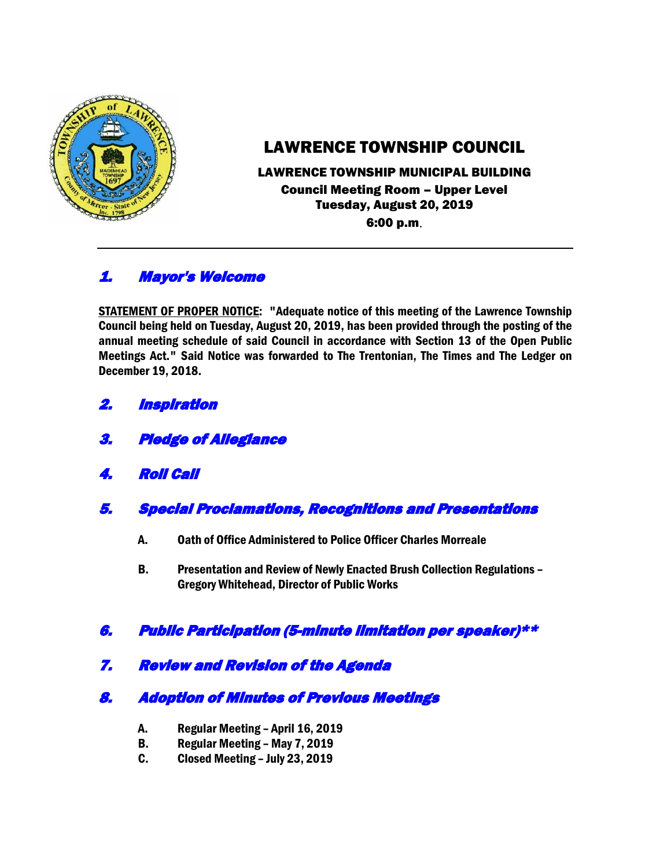

# LAWRENCE TOWNSHIP COUNCIL

#### LAWRENCE TOWNSHIP MUNICIPAL BUILDING Council Meeting Room – Upper Level Tuesday, August 20, 2019 6:00 p.m.

# 1. Mayor's Welcome

STATEMENT OF PROPER NOTICE: "Adequate notice of this meeting of the Lawrence Township Council being held on Tuesday, August 20, 2019, has been provided through the posting of the annual meeting schedule of said Council in accordance with Section 13 of the Open Public Meetings Act." Said Notice was forwarded to The Trentonian, The Times and The Ledger on December 19, 2018.

- 2. Inspiration
- 3. Pledge of Allegiance
- 4. Roll Call
- 5. Special Proclamations, Recognitions and Presentations
	- A. Oath of Office Administered to Police Officer Charles Morreale
	- B. Presentation and Review of Newly Enacted Brush Collection Regulations Gregory Whitehead, Director of Public Works

# 6. Public Participation (5-minute limitation per speaker)\*\*

7. Review and Revision of the Agenda

# 8. Adoption of Minutes of Previous Meetings

- A. Regular Meeting April 16, 2019
- B. Regular Meeting May 7, 2019
- C. Closed Meeting July 23, 2019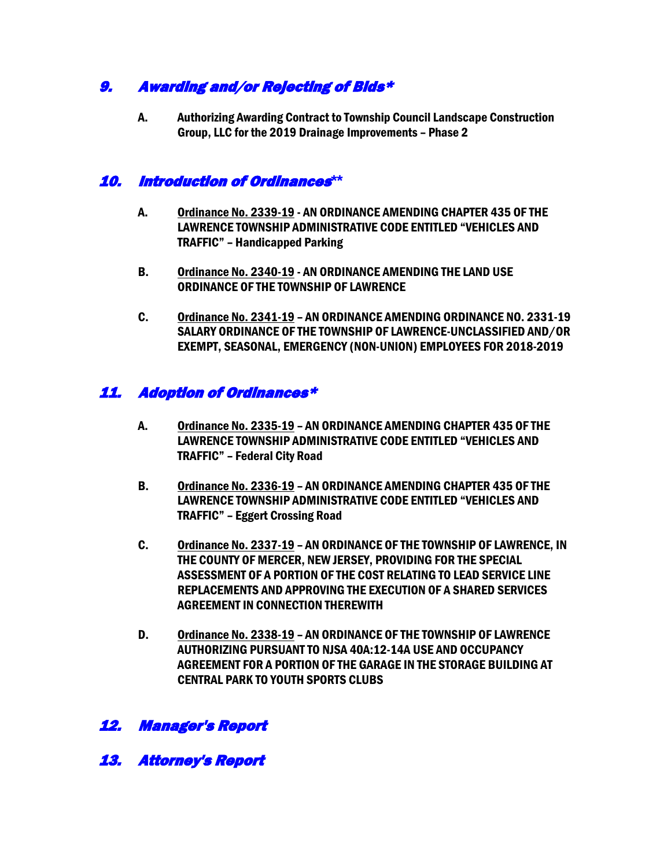# 9. Awarding and/or Rejecting of Bids\*

A. Authorizing Awarding Contract to Township Council Landscape Construction Group, LLC for the 2019 Drainage Improvements – Phase 2

# 10. Introduction of Ordinances**\*\***

- A. Ordinance No. 2339-19 AN ORDINANCE AMENDING CHAPTER 435 OF THE LAWRENCE TOWNSHIP ADMINISTRATIVE CODE ENTITLED "VEHICLES AND TRAFFIC" – Handicapped Parking
- B. Ordinance No. 2340-19 AN ORDINANCE AMENDING THE LAND USE ORDINANCE OF THE TOWNSHIP OF LAWRENCE
- C. Ordinance No. 2341-19 AN ORDINANCE AMENDING ORDINANCE NO. 2331-19 SALARY ORDINANCE OF THE TOWNSHIP OF LAWRENCE-UNCLASSIFIED AND/OR EXEMPT, SEASONAL, EMERGENCY (NON-UNION) EMPLOYEES FOR 2018-2019

# 11. Adoption of Ordinances\*

- A. Ordinance No. 2335-19 AN ORDINANCE AMENDING CHAPTER 435 OF THE LAWRENCE TOWNSHIP ADMINISTRATIVE CODE ENTITLED "VEHICLES AND TRAFFIC" – Federal City Road
- B. Ordinance No. 2336-19 AN ORDINANCE AMENDING CHAPTER 435 OF THE LAWRENCE TOWNSHIP ADMINISTRATIVE CODE ENTITLED "VEHICLES AND TRAFFIC" – Eggert Crossing Road
- C. Ordinance No. 2337-19 AN ORDINANCE OF THE TOWNSHIP OF LAWRENCE, IN THE COUNTY OF MERCER, NEW JERSEY, PROVIDING FOR THE SPECIAL ASSESSMENT OF A PORTION OF THE COST RELATING TO LEAD SERVICE LINE REPLACEMENTS AND APPROVING THE EXECUTION OF A SHARED SERVICES AGREEMENT IN CONNECTION THEREWITH
- D. Ordinance No. 2338-19 AN ORDINANCE OF THE TOWNSHIP OF LAWRENCE AUTHORIZING PURSUANT TO NJSA 40A:12-14A USE AND OCCUPANCY AGREEMENT FOR A PORTION OF THE GARAGE IN THE STORAGE BUILDING AT CENTRAL PARK TO YOUTH SPORTS CLUBS

# 12. Manager's Report

13. Attorney's Report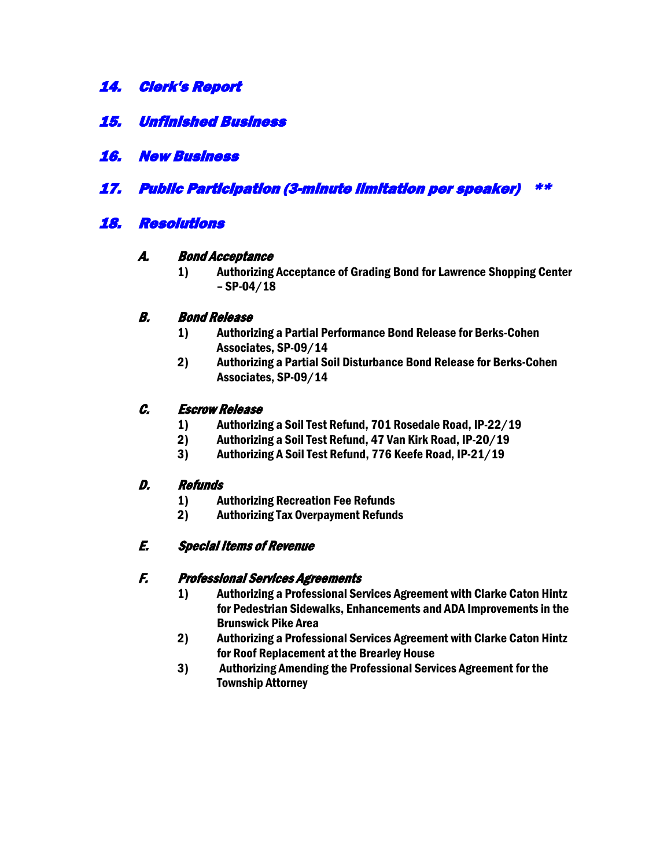- 14. Clerk's Report
- 15. Unfinished Business
- 16. New Business
- 17. Public Participation (3-minute limitation per speaker) \*\*

# 18. Resolutions

#### A. Bond Acceptance

1) Authorizing Acceptance of Grading Bond for Lawrence Shopping Center  $-$  SP-04/18

#### B. Bond Release

- 1) Authorizing a Partial Performance Bond Release for Berks-Cohen Associates, SP-09/14
- 2) Authorizing a Partial Soil Disturbance Bond Release for Berks-Cohen Associates, SP-09/14

#### C. Escrow Release

- 1) Authorizing a Soil Test Refund, 701 Rosedale Road, IP-22/19
- 2) Authorizing a Soil Test Refund, 47 Van Kirk Road, IP-20/19
- 3) Authorizing A Soil Test Refund, 776 Keefe Road, IP-21/19

#### D. Refunds

- 1) Authorizing Recreation Fee Refunds
- 2) Authorizing Tax Overpayment Refunds

#### E. Special Items of Revenue

#### F. Professional Services Agreements

- 1) Authorizing a Professional Services Agreement with Clarke Caton Hintz for Pedestrian Sidewalks, Enhancements and ADA Improvements in the Brunswick Pike Area
- 2) Authorizing a Professional Services Agreement with Clarke Caton Hintz for Roof Replacement at the Brearley House
- 3) Authorizing Amending the Professional Services Agreement for the Township Attorney